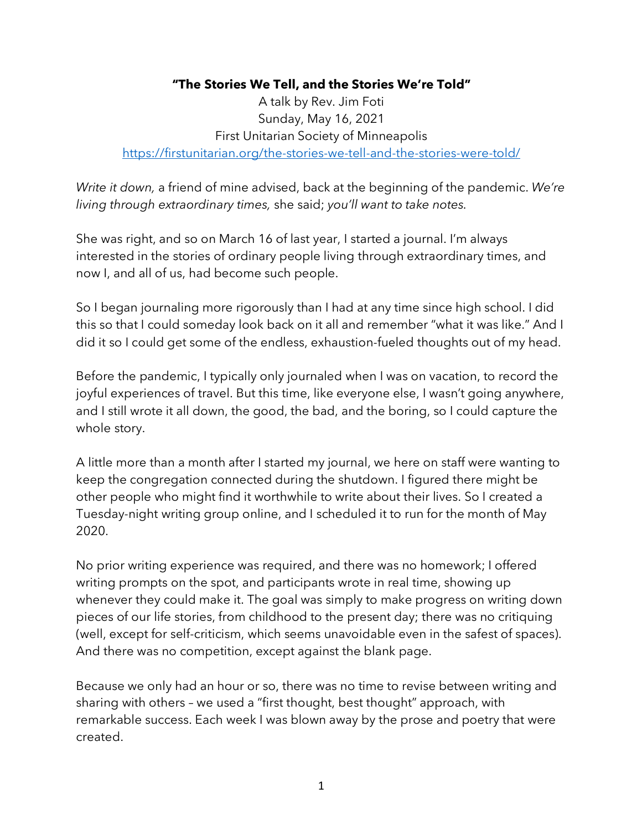## **"The Stories We Tell, and the Stories We're Told"**

A talk by Rev. Jim Foti Sunday, May 16, 2021 First Unitarian Society of Minneapolis https://firstunitarian.org/the-stories-we-tell-and-the-stories-were-told/

*Write it down,* a friend of mine advised, back at the beginning of the pandemic. *We're living through extraordinary times,* she said; *you'll want to take notes.*

She was right, and so on March 16 of last year, I started a journal. I'm always interested in the stories of ordinary people living through extraordinary times, and now I, and all of us, had become such people.

So I began journaling more rigorously than I had at any time since high school. I did this so that I could someday look back on it all and remember "what it was like." And I did it so I could get some of the endless, exhaustion-fueled thoughts out of my head.

Before the pandemic, I typically only journaled when I was on vacation, to record the joyful experiences of travel. But this time, like everyone else, I wasn't going anywhere, and I still wrote it all down, the good, the bad, and the boring, so I could capture the whole story.

A little more than a month after I started my journal, we here on staff were wanting to keep the congregation connected during the shutdown. I figured there might be other people who might find it worthwhile to write about their lives. So I created a Tuesday-night writing group online, and I scheduled it to run for the month of May 2020.

No prior writing experience was required, and there was no homework; I offered writing prompts on the spot, and participants wrote in real time, showing up whenever they could make it. The goal was simply to make progress on writing down pieces of our life stories, from childhood to the present day; there was no critiquing (well, except for self-criticism, which seems unavoidable even in the safest of spaces). And there was no competition, except against the blank page.

Because we only had an hour or so, there was no time to revise between writing and sharing with others – we used a "first thought, best thought" approach, with remarkable success. Each week I was blown away by the prose and poetry that were created.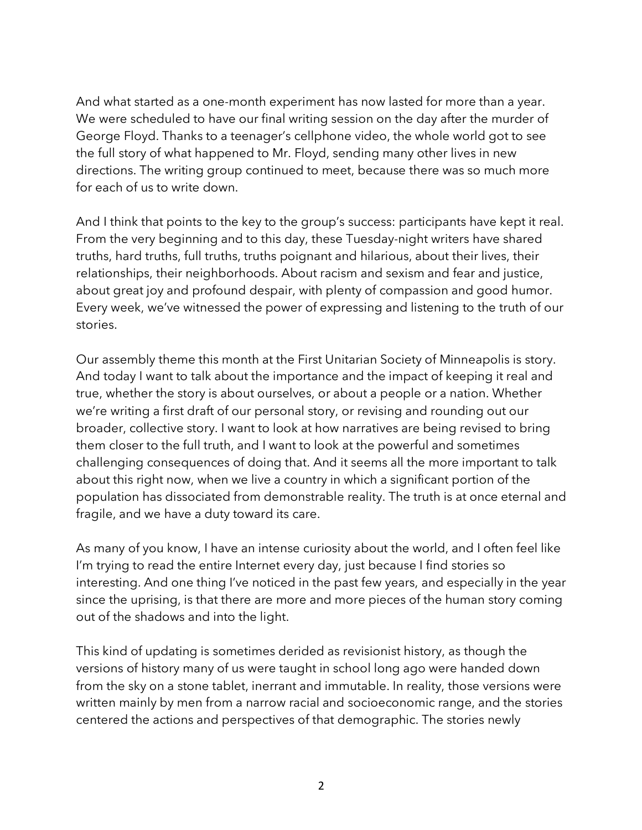And what started as a one-month experiment has now lasted for more than a year. We were scheduled to have our final writing session on the day after the murder of George Floyd. Thanks to a teenager's cellphone video, the whole world got to see the full story of what happened to Mr. Floyd, sending many other lives in new directions. The writing group continued to meet, because there was so much more for each of us to write down.

And I think that points to the key to the group's success: participants have kept it real. From the very beginning and to this day, these Tuesday-night writers have shared truths, hard truths, full truths, truths poignant and hilarious, about their lives, their relationships, their neighborhoods. About racism and sexism and fear and justice, about great joy and profound despair, with plenty of compassion and good humor. Every week, we've witnessed the power of expressing and listening to the truth of our stories.

Our assembly theme this month at the First Unitarian Society of Minneapolis is story. And today I want to talk about the importance and the impact of keeping it real and true, whether the story is about ourselves, or about a people or a nation. Whether we're writing a first draft of our personal story, or revising and rounding out our broader, collective story. I want to look at how narratives are being revised to bring them closer to the full truth, and I want to look at the powerful and sometimes challenging consequences of doing that. And it seems all the more important to talk about this right now, when we live a country in which a significant portion of the population has dissociated from demonstrable reality. The truth is at once eternal and fragile, and we have a duty toward its care.

As many of you know, I have an intense curiosity about the world, and I often feel like I'm trying to read the entire Internet every day, just because I find stories so interesting. And one thing I've noticed in the past few years, and especially in the year since the uprising, is that there are more and more pieces of the human story coming out of the shadows and into the light.

This kind of updating is sometimes derided as revisionist history, as though the versions of history many of us were taught in school long ago were handed down from the sky on a stone tablet, inerrant and immutable. In reality, those versions were written mainly by men from a narrow racial and socioeconomic range, and the stories centered the actions and perspectives of that demographic. The stories newly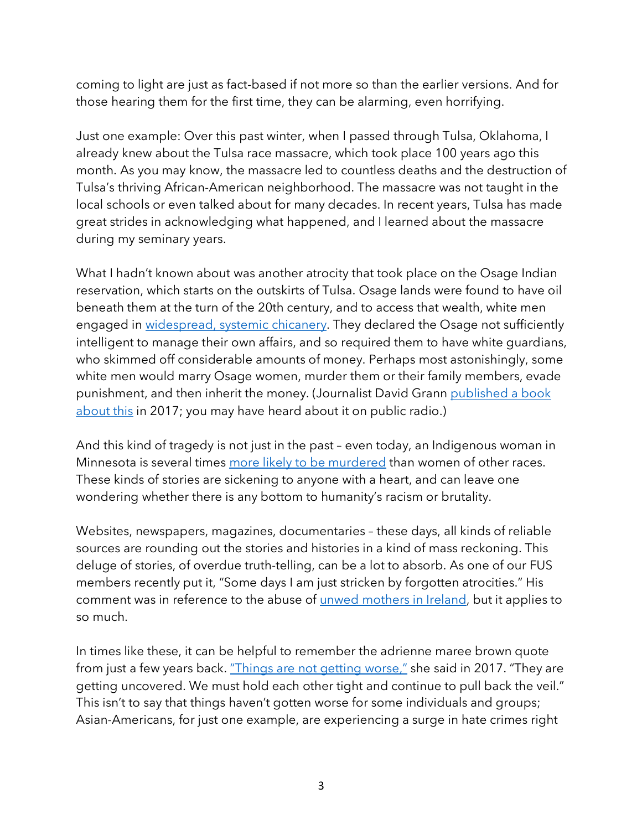coming to light are just as fact-based if not more so than the earlier versions. And for those hearing them for the first time, they can be alarming, even horrifying.

Just one example: Over this past winter, when I passed through Tulsa, Oklahoma, I already knew about the Tulsa race massacre, which took place 100 years ago this month. As you may know, the massacre led to countless deaths and the destruction of Tulsa's thriving African-American neighborhood. The massacre was not taught in the local schools or even talked about for many decades. In recent years, Tulsa has made great strides in acknowledging what happened, and I learned about the massacre during my seminary years.

What I hadn't known about was another atrocity that took place on the Osage Indian reservation, which starts on the outskirts of Tulsa. Osage lands were found to have oil beneath them at the turn of the 20th century, and to access that wealth, white men engaged in widespread, systemic chicanery. They declared the Osage not sufficiently intelligent to manage their own affairs, and so required them to have white guardians, who skimmed off considerable amounts of money. Perhaps most astonishingly, some white men would marry Osage women, murder them or their family members, evade punishment, and then inherit the money. (Journalist David Grann published a book about this in 2017; you may have heard about it on public radio.)

And this kind of tragedy is not just in the past – even today, an Indigenous woman in Minnesota is several times more likely to be murdered than women of other races. These kinds of stories are sickening to anyone with a heart, and can leave one wondering whether there is any bottom to humanity's racism or brutality.

Websites, newspapers, magazines, documentaries – these days, all kinds of reliable sources are rounding out the stories and histories in a kind of mass reckoning. This deluge of stories, of overdue truth-telling, can be a lot to absorb. As one of our FUS members recently put it, "Some days I am just stricken by forgotten atrocities." His comment was in reference to the abuse of unwed mothers in Ireland, but it applies to so much.

In times like these, it can be helpful to remember the adrienne maree brown quote from just a few years back. "Things are not getting worse," she said in 2017. "They are getting uncovered. We must hold each other tight and continue to pull back the veil." This isn't to say that things haven't gotten worse for some individuals and groups; Asian-Americans, for just one example, are experiencing a surge in hate crimes right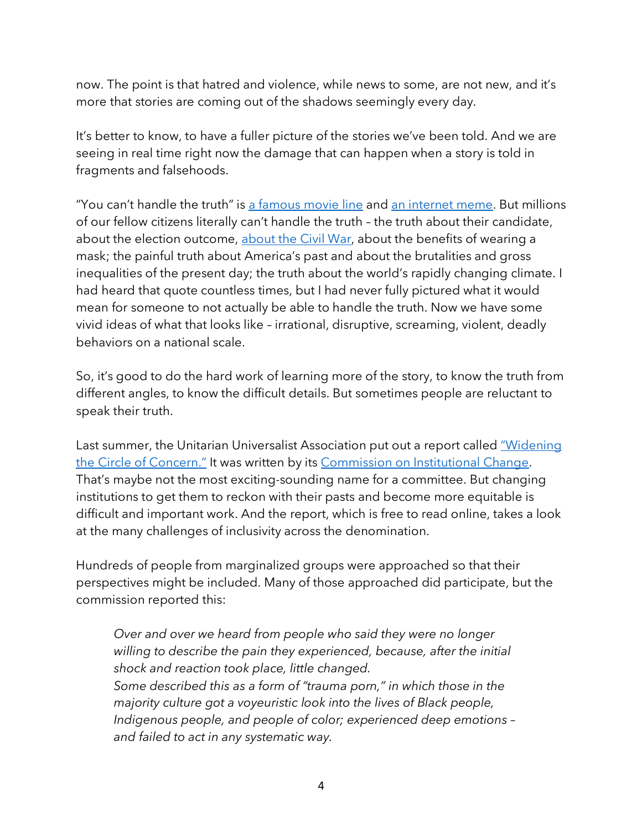now. The point is that hatred and violence, while news to some, are not new, and it's more that stories are coming out of the shadows seemingly every day.

It's better to know, to have a fuller picture of the stories we've been told. And we are seeing in real time right now the damage that can happen when a story is told in fragments and falsehoods.

"You can't handle the truth" is a famous movie line and an internet meme. But millions of our fellow citizens literally can't handle the truth – the truth about their candidate, about the election outcome, about the Civil War, about the benefits of wearing a mask; the painful truth about America's past and about the brutalities and gross inequalities of the present day; the truth about the world's rapidly changing climate. I had heard that quote countless times, but I had never fully pictured what it would mean for someone to not actually be able to handle the truth. Now we have some vivid ideas of what that looks like – irrational, disruptive, screaming, violent, deadly behaviors on a national scale.

So, it's good to do the hard work of learning more of the story, to know the truth from different angles, to know the difficult details. But sometimes people are reluctant to speak their truth.

Last summer, the Unitarian Universalist Association put out a report called "Widening the Circle of Concern." It was written by its Commission on Institutional Change. That's maybe not the most exciting-sounding name for a committee. But changing institutions to get them to reckon with their pasts and become more equitable is difficult and important work. And the report, which is free to read online, takes a look at the many challenges of inclusivity across the denomination.

Hundreds of people from marginalized groups were approached so that their perspectives might be included. Many of those approached did participate, but the commission reported this:

*Over and over we heard from people who said they were no longer willing to describe the pain they experienced, because, after the initial shock and reaction took place, little changed. Some described this as a form of "trauma porn," in which those in the majority culture got a voyeuristic look into the lives of Black people, Indigenous people, and people of color; experienced deep emotions – and failed to act in any systematic way.*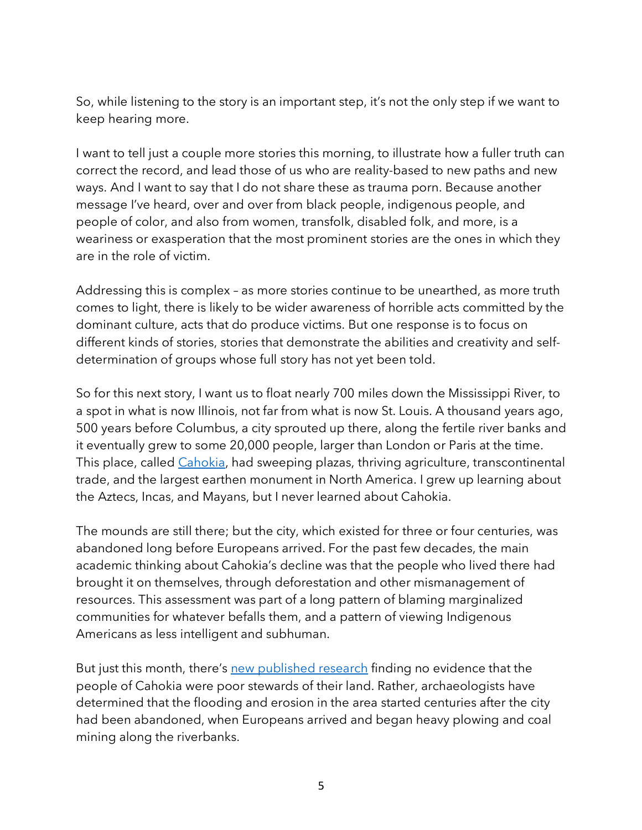So, while listening to the story is an important step, it's not the only step if we want to keep hearing more.

I want to tell just a couple more stories this morning, to illustrate how a fuller truth can correct the record, and lead those of us who are reality-based to new paths and new ways. And I want to say that I do not share these as trauma porn. Because another message I've heard, over and over from black people, indigenous people, and people of color, and also from women, transfolk, disabled folk, and more, is a weariness or exasperation that the most prominent stories are the ones in which they are in the role of victim.

Addressing this is complex – as more stories continue to be unearthed, as more truth comes to light, there is likely to be wider awareness of horrible acts committed by the dominant culture, acts that do produce victims. But one response is to focus on different kinds of stories, stories that demonstrate the abilities and creativity and selfdetermination of groups whose full story has not yet been told.

So for this next story, I want us to float nearly 700 miles down the Mississippi River, to a spot in what is now Illinois, not far from what is now St. Louis. A thousand years ago, 500 years before Columbus, a city sprouted up there, along the fertile river banks and it eventually grew to some 20,000 people, larger than London or Paris at the time. This place, called Cahokia, had sweeping plazas, thriving agriculture, transcontinental trade, and the largest earthen monument in North America. I grew up learning about the Aztecs, Incas, and Mayans, but I never learned about Cahokia.

The mounds are still there; but the city, which existed for three or four centuries, was abandoned long before Europeans arrived. For the past few decades, the main academic thinking about Cahokia's decline was that the people who lived there had brought it on themselves, through deforestation and other mismanagement of resources. This assessment was part of a long pattern of blaming marginalized communities for whatever befalls them, and a pattern of viewing Indigenous Americans as less intelligent and subhuman.

But just this month, there's new published research finding no evidence that the people of Cahokia were poor stewards of their land. Rather, archaeologists have determined that the flooding and erosion in the area started centuries after the city had been abandoned, when Europeans arrived and began heavy plowing and coal mining along the riverbanks.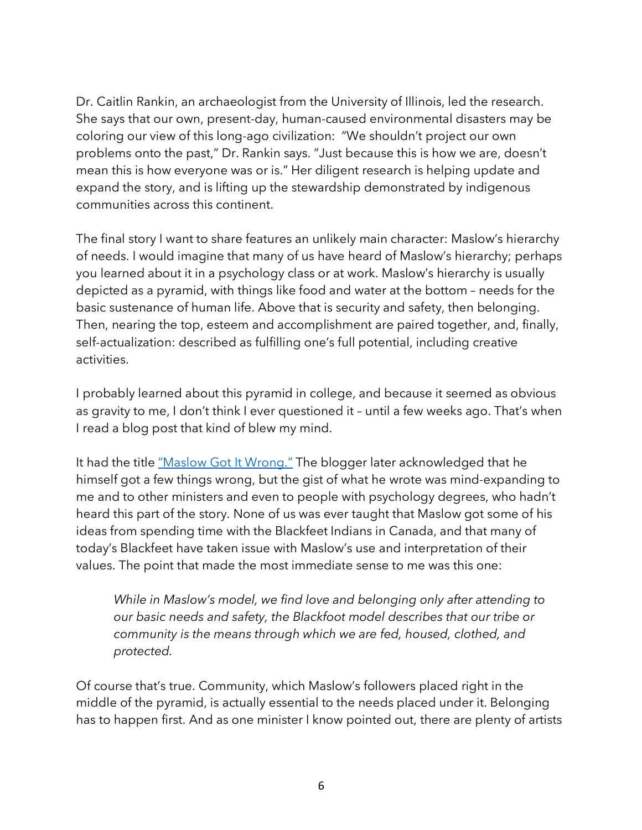Dr. Caitlin Rankin, an archaeologist from the University of Illinois, led the research. She says that our own, present-day, human-caused environmental disasters may be coloring our view of this long-ago civilization: "We shouldn't project our own problems onto the past," Dr. Rankin says. "Just because this is how we are, doesn't mean this is how everyone was or is." Her diligent research is helping update and expand the story, and is lifting up the stewardship demonstrated by indigenous communities across this continent.

The final story I want to share features an unlikely main character: Maslow's hierarchy of needs. I would imagine that many of us have heard of Maslow's hierarchy; perhaps you learned about it in a psychology class or at work. Maslow's hierarchy is usually depicted as a pyramid, with things like food and water at the bottom – needs for the basic sustenance of human life. Above that is security and safety, then belonging. Then, nearing the top, esteem and accomplishment are paired together, and, finally, self-actualization: described as fulfilling one's full potential, including creative activities.

I probably learned about this pyramid in college, and because it seemed as obvious as gravity to me, I don't think I ever questioned it – until a few weeks ago. That's when I read a blog post that kind of blew my mind.

It had the title "Maslow Got It Wrong." The blogger later acknowledged that he himself got a few things wrong, but the gist of what he wrote was mind-expanding to me and to other ministers and even to people with psychology degrees, who hadn't heard this part of the story. None of us was ever taught that Maslow got some of his ideas from spending time with the Blackfeet Indians in Canada, and that many of today's Blackfeet have taken issue with Maslow's use and interpretation of their values. The point that made the most immediate sense to me was this one:

*While in Maslow's model, we find love and belonging only after attending to our basic needs and safety, the Blackfoot model describes that our tribe or community is the means through which we are fed, housed, clothed, and protected.*

Of course that's true. Community, which Maslow's followers placed right in the middle of the pyramid, is actually essential to the needs placed under it. Belonging has to happen first. And as one minister I know pointed out, there are plenty of artists